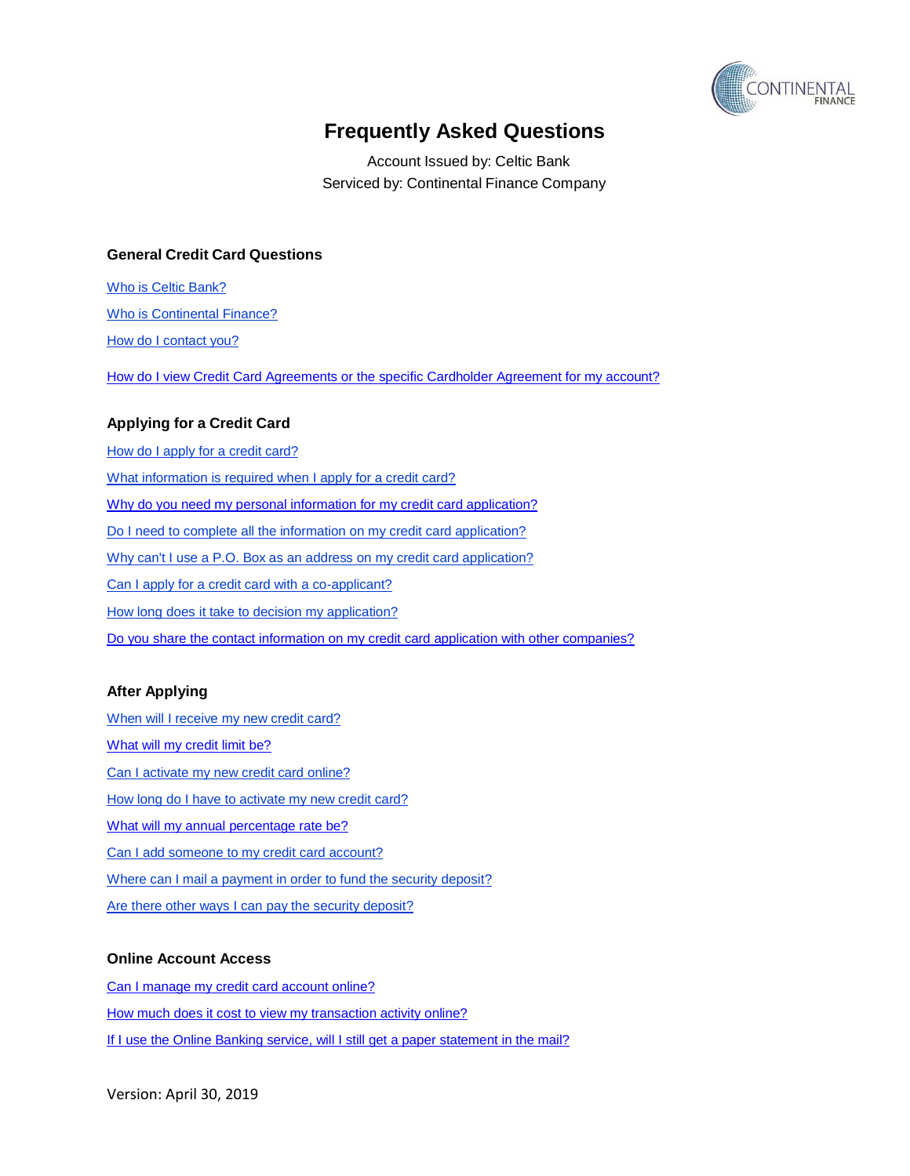

Account Issued by: Celtic Bank Serviced by: Continental Finance Company

### **General Credit Card Questions**

Who is Celtic [Bank?](#page-2-0) Who is [Continental](#page-2-1) Finance? How [do I contact you?](#page-2-2)

How do I view [Credit Card Agreements](#page-2-3) or the specific Cardholder Agreement for my account?

#### **Applying for a Credit Card**

How do I apply for a [credit card?](#page-2-4) [What information](#page-2-5) is required when I apply for a credit card? Why do you need my personal [information for my](#page-3-0) credit card application? Do I need to complete all the information on my credit [card application?](#page-3-1) Why can't I [use a P.O. Box](#page-3-2) as an address on my credit card application? Can I apply for a credit card with a [co-applicant?](#page-3-3) How long does it take to decision my [application?](#page-3-4) Do you share the contact information on my [credit card application with other companies?](#page-3-5)

#### **After Applying**

[When will I](#page-4-0) receive my new credit card? What will my [credit limit be?](#page-4-1) [Can I activate](#page-4-2) my new credit card online? How [long do I](#page-4-3) have to activate my new credit card? What will my [annual percentage rate](#page-4-4) be? Can I add someone to my [credit card account?](#page-4-5) Where can I mail a payment in [order to fund the security](#page-4-6) deposit? Are there [other ways](#page-4-7) I can pay the security deposit?

#### **Online Account Access**

[Can I manage](#page-5-0) my credit card account online? How [much does](#page-5-1) it cost to view my transaction activity online? [If I use the Online Banking](#page-5-2) service, will I still get a paper statement in the mail?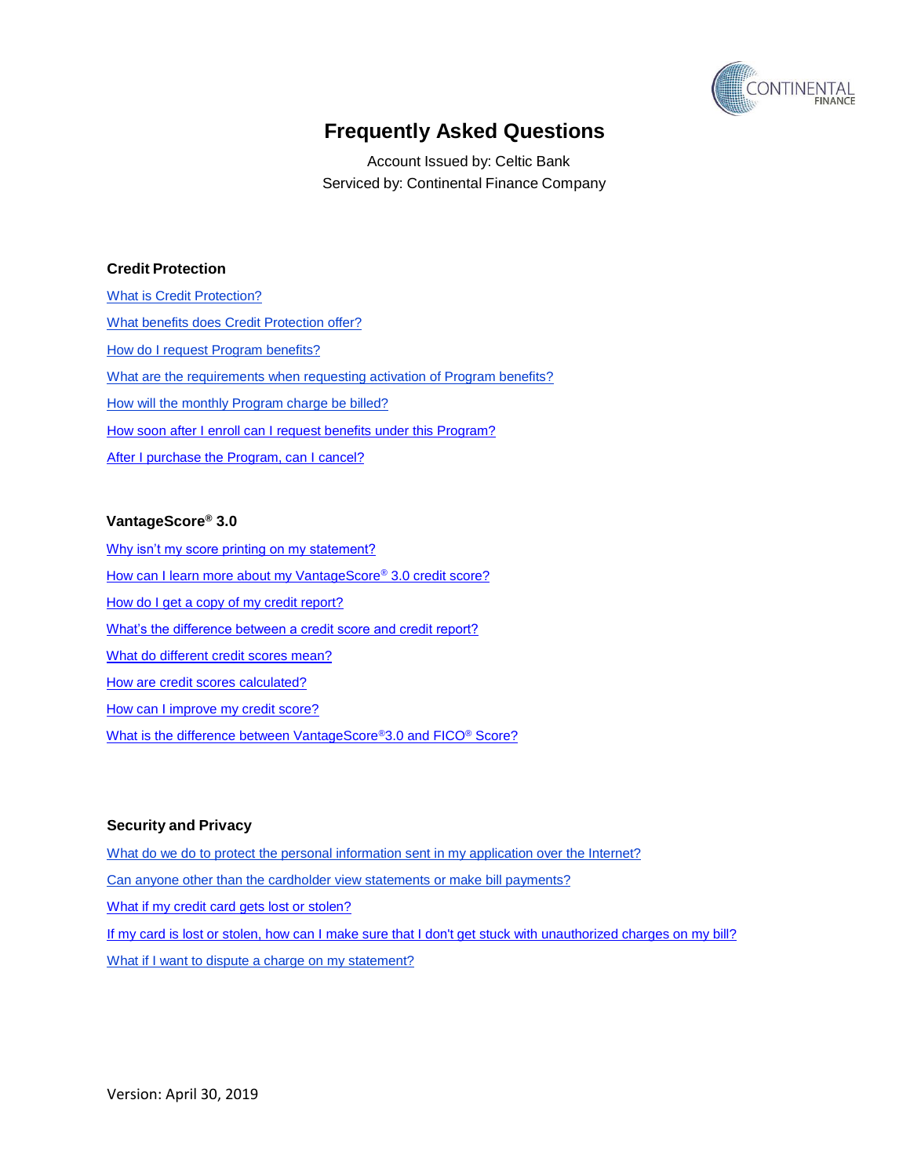

Account Issued by: Celtic Bank Serviced by: Continental Finance Company

### **Credit Protection**

What is [Credit Protection?](#page-5-3) What benefits does [Credit Protection offer?](#page-5-4) How [do I request Program](#page-5-5) benefits? [What are the requirements](#page-6-0) when requesting activation of Program benefits? [How will the](#page-6-1) monthly Program charge be billed? How [soon after I enroll can I request benefits](#page-6-2) under this Program? After I purchase the Program, [can I cancel?](#page-6-3)

#### **VantageScore® 3.0**

[Why isn't my score printing on my statement?](#page-7-0) [How can I learn more about my VantageScore](#page-7-1)® 3.0 credit score? [How do I get a copy of my credit report?](#page-7-2) [What's the difference between a credit score and credit report?](#page-7-3) [What do different credit scores mean?](#page-7-4) [How are credit scores calculated?](#page-7-5) [How can I improve my credit score?](#page-7-6) [What is the difference between VantageScore](#page-8-0)®3.0 and FICO® Score?

#### **Security and Privacy**

What do we do to [protect the personal information](#page-8-1) sent in my application over the Internet? Can anyone [other than the cardholder view](#page-8-2) statements or make bill payments? What if my [credit card gets](#page-8-3) lost or stolen? If my card is lost or stolen, how can I make sure that I don't get stuck [with unauthorized](#page-8-4) charges on my bill? [What if I want to](#page-8-5) dispute a charge on my statement?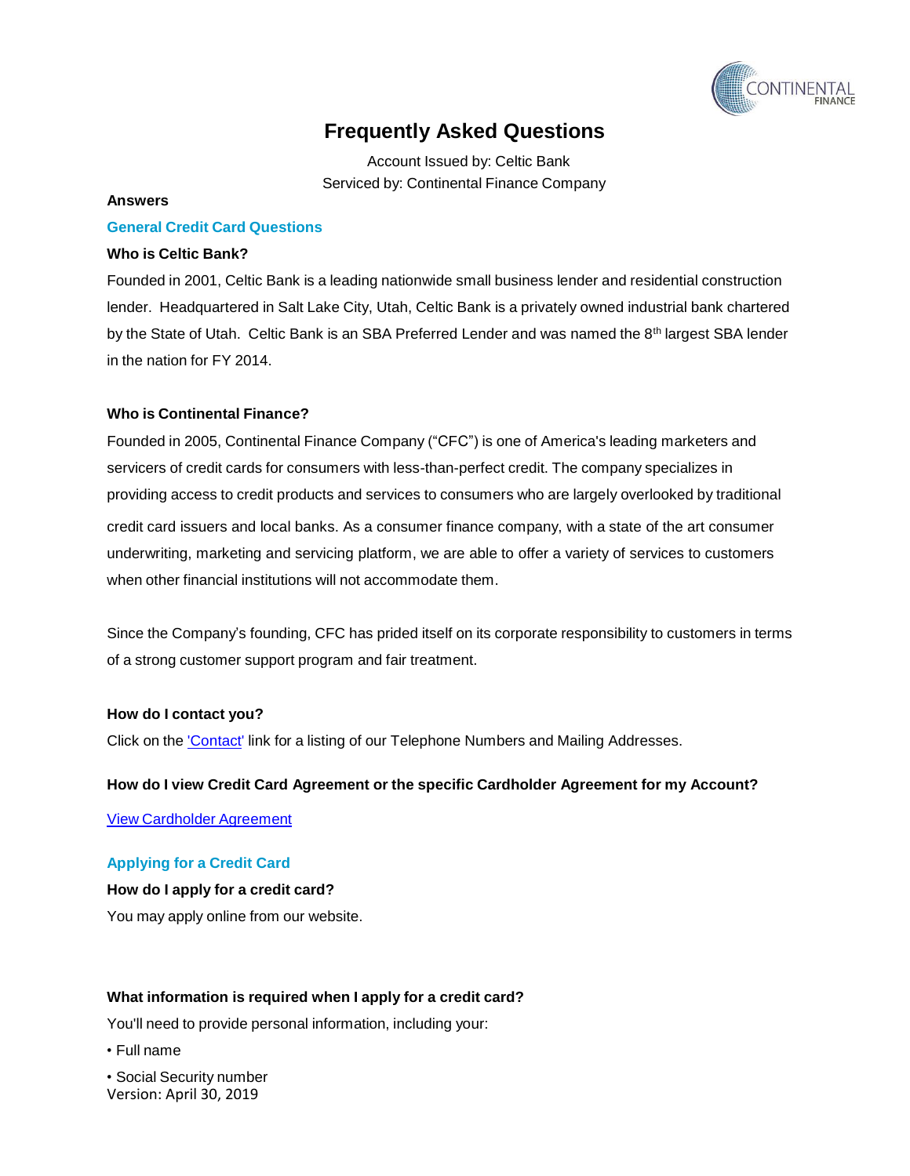

Account Issued by: Celtic Bank Serviced by: Continental Finance Company

#### **Answers**

#### **General Credit Card Questions**

#### <span id="page-2-0"></span>**Who is Celtic Bank?**

Founded in 2001, Celtic Bank is a leading nationwide small business lender and residential construction lender. Headquartered in Salt Lake City, Utah, Celtic Bank is a privately owned industrial bank chartered by the State of Utah. Celtic Bank is an SBA Preferred Lender and was named the 8<sup>th</sup> largest SBA lender in the nation for FY 2014.

#### <span id="page-2-1"></span>**Who is Continental Finance?**

Founded in 2005, Continental Finance Company ("CFC") is one of America's leading marketers and servicers of credit cards for consumers with less-than-perfect credit. The company specializes in providing access to credit products and services to consumers who are largely overlooked by traditional credit card issuers and local banks. As a consumer finance company, with a state of the art consumer underwriting, marketing and servicing platform, we are able to offer a variety of services to customers when other financial institutions will not accommodate them.

Since the Company's founding, CFC has prided itself on its corporate responsibility to customers in terms of a strong customer support program and fair treatment.

#### <span id="page-2-2"></span>**How do I contact you?**

Click on the *['Contact'](http://www.continentalfinance.net/contact.php)* link for a listing of our Telephone Numbers and Mailing Addresses.

#### <span id="page-2-3"></span>**How do I view Credit Card Agreement or the specific Cardholder Agreement for my Account?**

View [Cardholder](https://continentalfinance.net/ch_agreement.php) Agreement

#### **Applying for a Credit Card**

<span id="page-2-4"></span>**How do I apply for a credit card?** You may apply online from our website.

#### <span id="page-2-5"></span>**What information is required when I apply for a credit card?**

You'll need to provide personal information, including your:

• Full name

Version: April 30, 2019 • Social Security number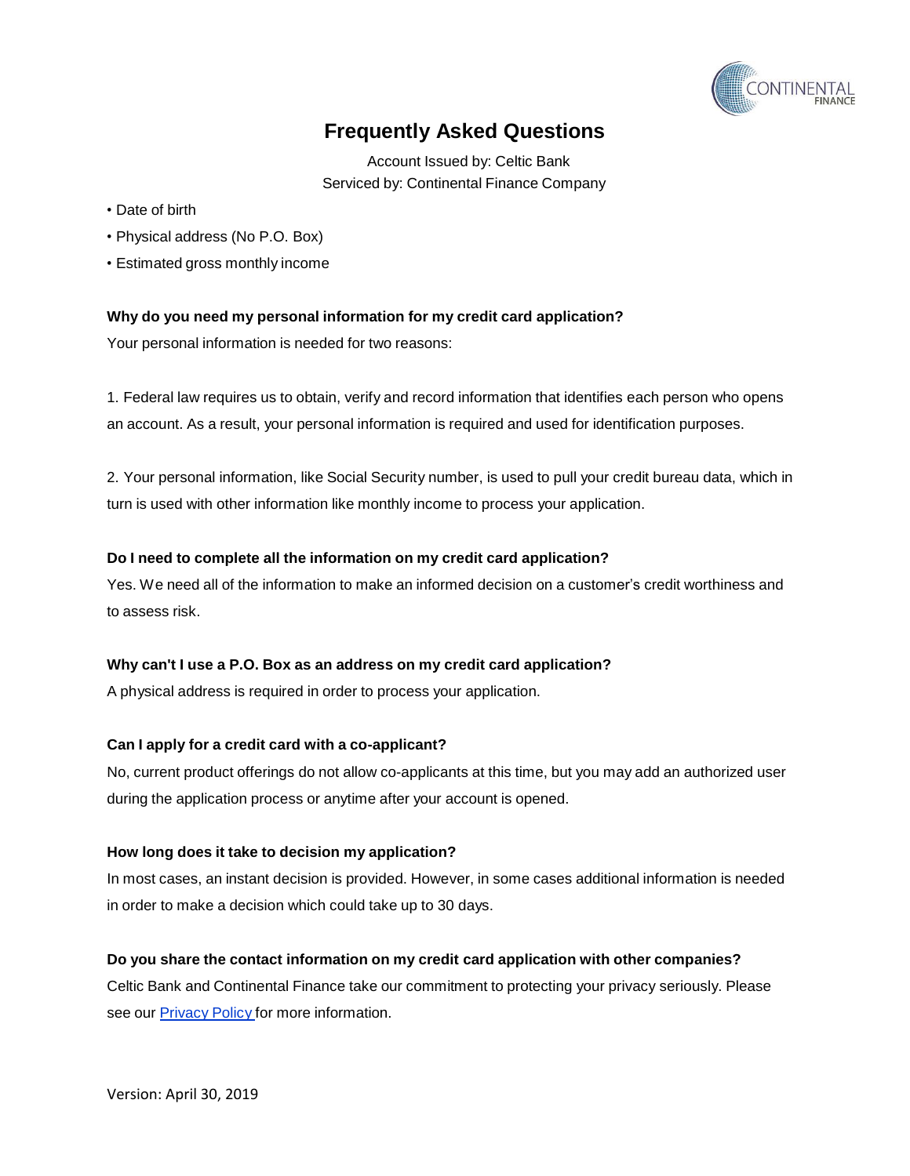

Account Issued by: Celtic Bank Serviced by: Continental Finance Company

- Date of birth
- Physical address (No P.O. Box)
- Estimated gross monthly income

## <span id="page-3-0"></span>**Why do you need my personal information for my credit card application?**

Your personal information is needed for two reasons:

1. Federal law requires us to obtain, verify and record information that identifies each person who opens an account. As a result, your personal information is required and used for identification purposes.

2. Your personal information, like Social Security number, is used to pull your credit bureau data, which in turn is used with other information like monthly income to process your application.

## <span id="page-3-1"></span>**Do I need to complete all the information on my credit card application?**

Yes. We need all of the information to make an informed decision on a customer's credit worthiness and to assess risk.

## <span id="page-3-2"></span>**Why can't I use a P.O. Box as an address on my credit card application?**

A physical address is required in order to process your application.

## <span id="page-3-3"></span>**Can I apply for a credit card with a co-applicant?**

No, current product offerings do not allow co-applicants at this time, but you may add an authorized user during the application process or anytime after your account is opened.

## <span id="page-3-4"></span>**How long does it take to decision my application?**

In most cases, an instant decision is provided. However, in some cases additional information is needed in order to make a decision which could take up to 30 days.

## <span id="page-3-5"></span>**Do you share the contact information on my credit card application with other companies?**

Celtic Bank and Continental Finance take our commitment to protecting your privacy seriously. Please see our **[Privacy](http://www.continentalfinance.net/Content/PDF/PrivacyPolicyCFCandCELTIC.pdf) Policy** for more information.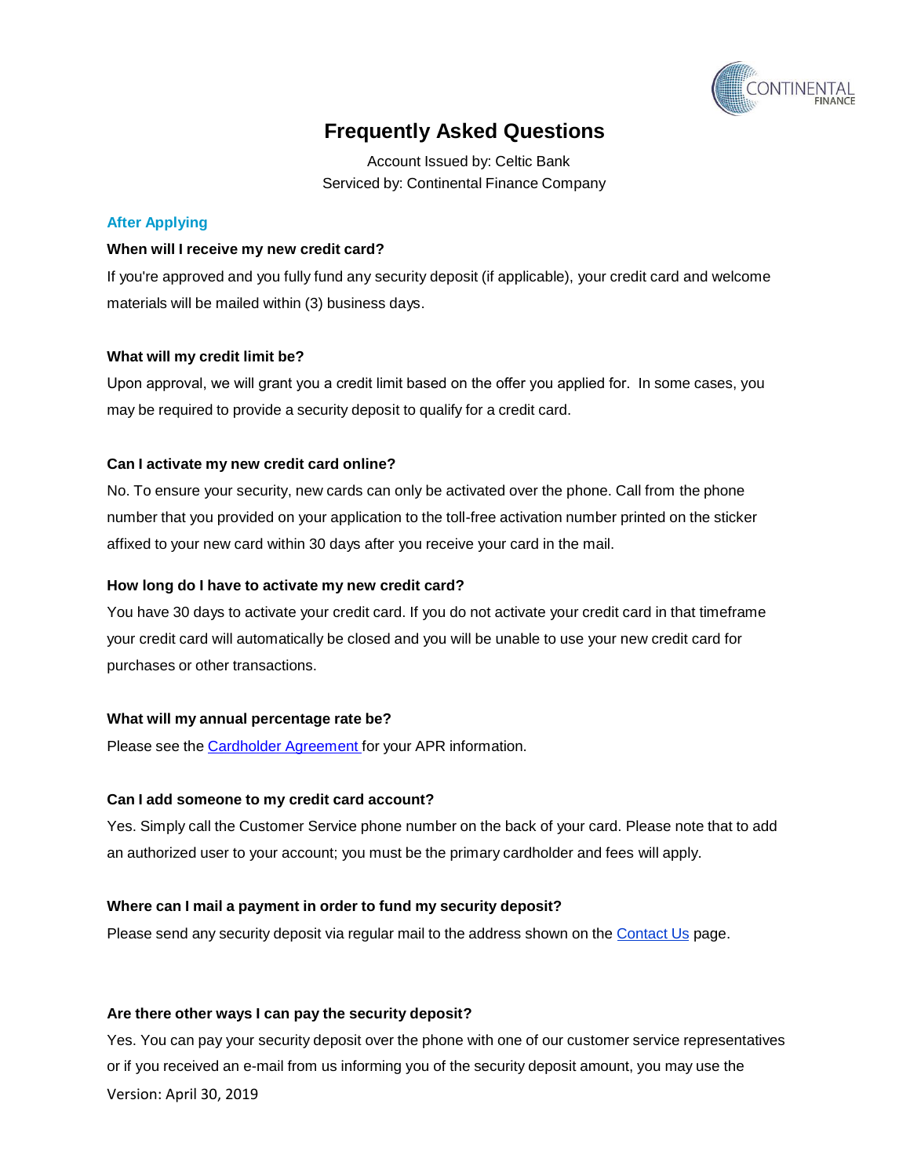

Account Issued by: Celtic Bank Serviced by: Continental Finance Company

## **After Applying**

#### <span id="page-4-0"></span>**When will I receive my new credit card?**

If you're approved and you fully fund any security deposit (if applicable), your credit card and welcome materials will be mailed within (3) business days.

### <span id="page-4-1"></span>**What will my credit limit be?**

Upon approval, we will grant you a credit limit based on the offer you applied for. In some cases, you may be required to provide a security deposit to qualify for a credit card.

### <span id="page-4-2"></span>**Can I activate my new credit card online?**

No. To ensure your security, new cards can only be activated over the phone. Call from the phone number that you provided on your application to the toll-free activation number printed on the sticker affixed to your new card within 30 days after you receive your card in the mail.

#### <span id="page-4-3"></span>**How long do I have to activate my new credit card?**

You have 30 days to activate your credit card. If you do not activate your credit card in that timeframe your credit card will automatically be closed and you will be unable to use your new credit card for purchases or other transactions.

#### <span id="page-4-4"></span>**What will my annual percentage rate be?**

Please see the [Cardholder](https://continentalfinance.net/ch_agreement.php) Agreement for your APR information.

#### <span id="page-4-5"></span>**Can I add someone to my credit card account?**

Yes. Simply call the Customer Service phone number on the back of your card. Please note that to add an authorized user to your account; you must be the primary cardholder and fees will apply.

## <span id="page-4-6"></span>**Where can I mail a payment in order to fund my security deposit?**

Please send any security deposit via regular mail to the address shown on the [Contact Us](http://www.continentalfinance.net/contact_us.php) page.

#### <span id="page-4-7"></span>**Are there other ways I can pay the security deposit?**

Yes. You can pay your security deposit over the phone with one of our customer service representatives or if you received an e-mail from us informing you of the security deposit amount, you may use the Version: April 30, 2019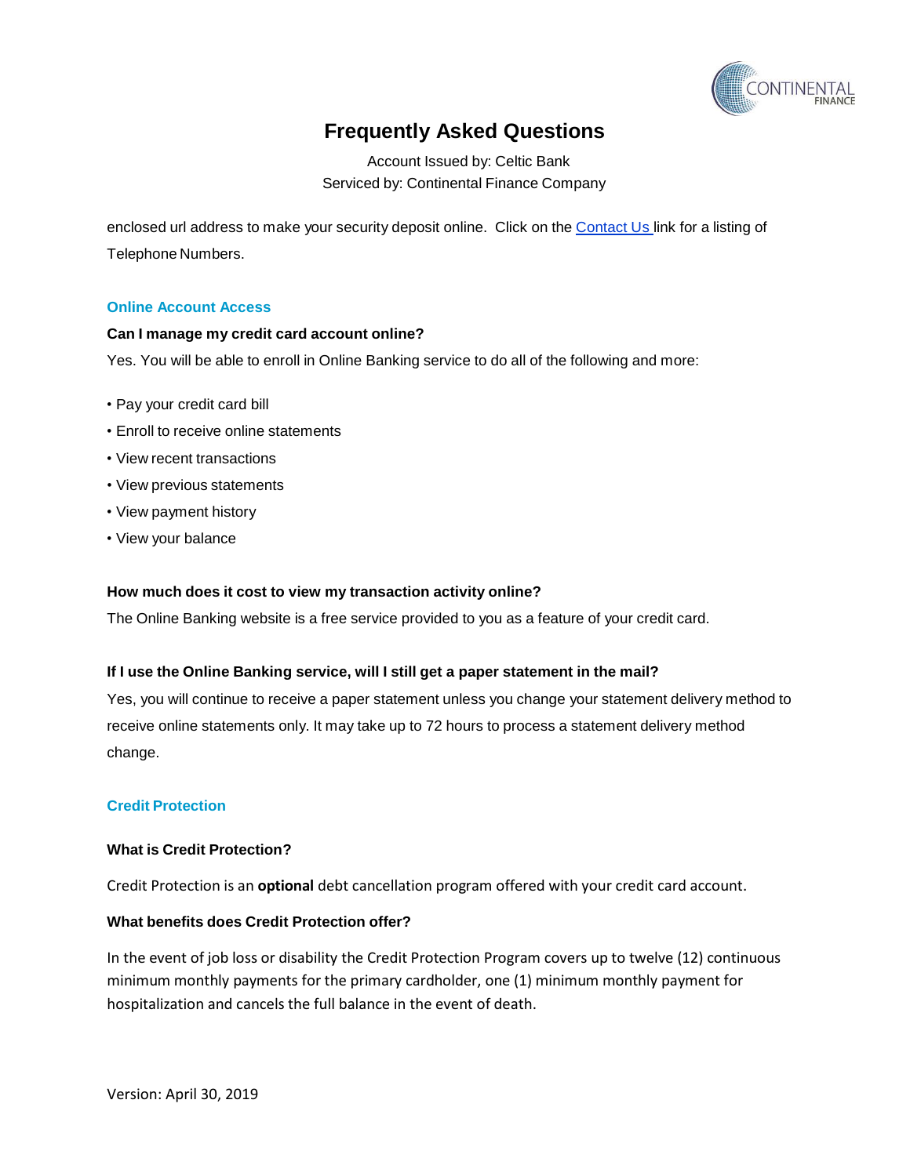

Account Issued by: Celtic Bank Serviced by: Continental Finance Company

enclosed url address to make your security deposit online. Click on the [Contact](http://www.continentalfinance.net/contact_us.php) Us link for a listing of Telephone Numbers.

### **Online Account Access**

### <span id="page-5-0"></span>**Can I manage my credit card account online?**

Yes. You will be able to enroll in Online Banking service to do all of the following and more:

- Pay your credit card bill
- Enroll to receive online statements
- View recent transactions
- View previous statements
- View payment history
- View your balance

#### <span id="page-5-1"></span>**How much does it cost to view my transaction activity online?**

The Online Banking website is a free service provided to you as a feature of your credit card.

#### <span id="page-5-2"></span>**If I use the Online Banking service, will I still get a paper statement in the mail?**

Yes, you will continue to receive a paper statement unless you change your statement delivery method to receive online statements only. It may take up to 72 hours to process a statement delivery method change.

## **Credit Protection**

#### <span id="page-5-3"></span>**What is Credit Protection?**

Credit Protection is an **optional** debt cancellation program offered with your credit card account.

### <span id="page-5-4"></span>**What benefits does Credit Protection offer?**

<span id="page-5-5"></span>In the event of job loss or disability the Credit Protection Program covers up to twelve (12) continuous minimum monthly payments for the primary cardholder, one (1) minimum monthly payment for hospitalization and cancels the full balance in the event of death.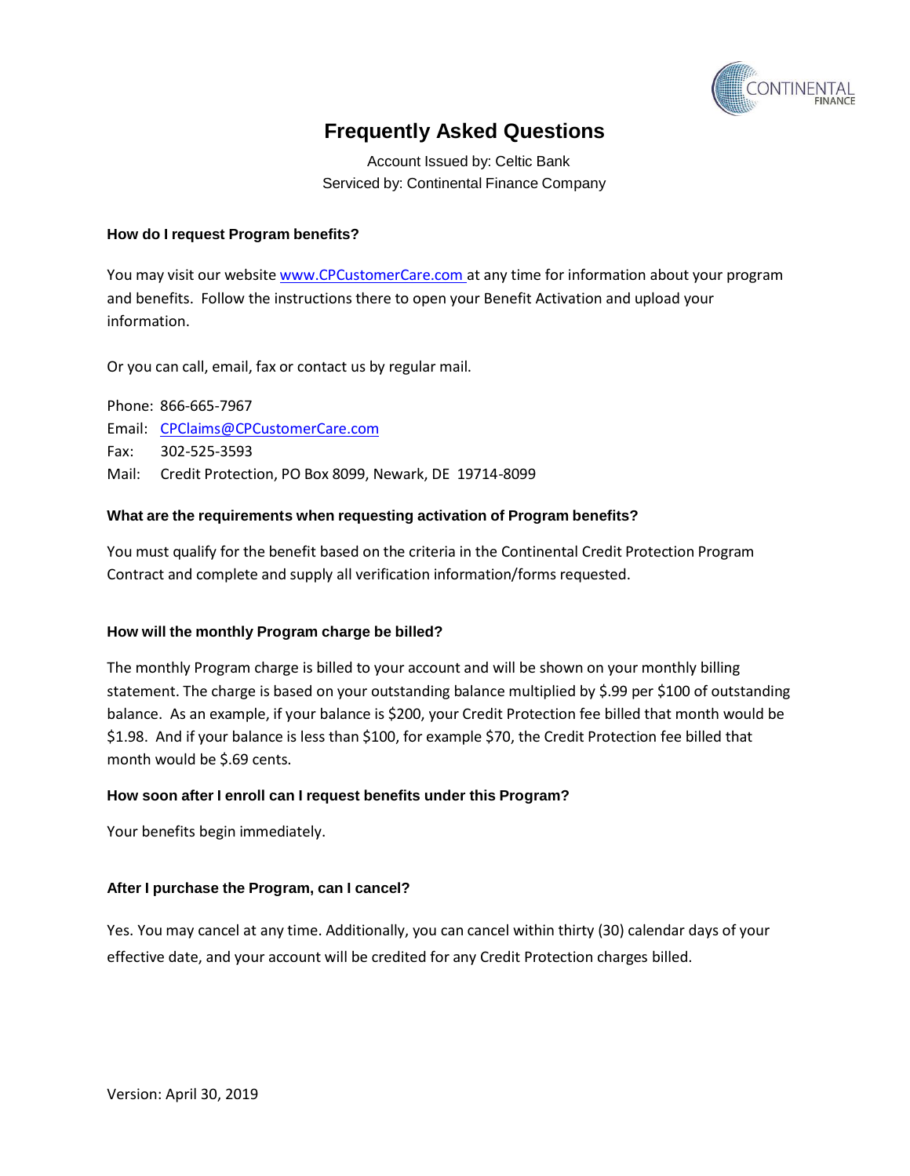

Account Issued by: Celtic Bank Serviced by: Continental Finance Company

## **How do I request Program benefits?**

You may visit our website [www.CPCustomerCare.com](http://www.cpcustomercare.com/) at any time for information about your program and benefits. Follow the instructions there to open your Benefit Activation and upload your information.

Or you can call, email, fax or contact us by regular mail.

Phone: 866-665-7967 Email: [CPClaims@CPCustomerCare.com](mailto:CPClaims@CPCustomerCare.com) Fax: 302-525-3593 Mail: Credit Protection, PO Box 8099, Newark, DE 19714-8099

### <span id="page-6-0"></span>**What are the requirements when requesting activation of Program benefits?**

You must qualify for the benefit based on the criteria in the Continental Credit Protection Program Contract and complete and supply all verification information/forms requested.

#### <span id="page-6-1"></span>**How will the monthly Program charge be billed?**

<span id="page-6-2"></span>The monthly Program charge is billed to your account and will be shown on your monthly billing statement. The charge is based on your outstanding balance multiplied by \$.99 per \$100 of outstanding balance. As an example, if your balance is \$200, your Credit Protection fee billed that month would be \$1.98. And if your balance is less than \$100, for example \$70, the Credit Protection fee billed that month would be \$.69 cents.

#### **How soon after I enroll can I request benefits under this Program?**

Your benefits begin immediately.

#### <span id="page-6-3"></span>**After I purchase the Program, can I cancel?**

Yes. You may cancel at any time. Additionally, you can cancel within thirty (30) calendar days of your effective date, and your account will be credited for any Credit Protection charges billed.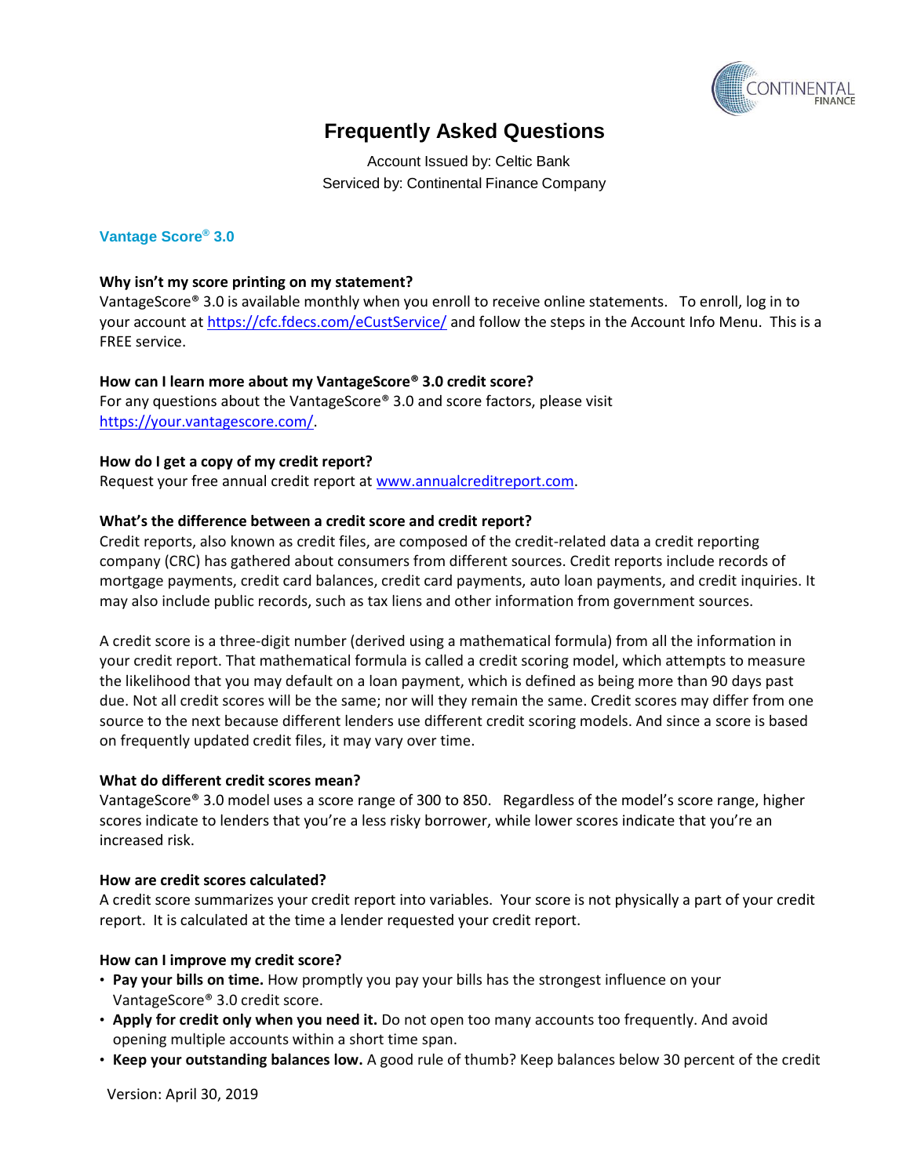

Account Issued by: Celtic Bank Serviced by: Continental Finance Company

## **Vantage Score® 3.0**

## <span id="page-7-0"></span>**Why isn't my score printing on my statement?**

VantageScore® 3.0 is available monthly when you enroll to receive online statements. To enroll, log in to your account at <https://cfc.fdecs.com/eCustService/> and follow the steps in the Account Info Menu. This is a FREE service.

### <span id="page-7-1"></span>**How can I learn more about my VantageScore® 3.0 credit score?**

For any questions about the VantageScore® 3.0 and score factors, please visit [https://your.vantagescore.com/.](https://your.vantagescore.com/)

### <span id="page-7-2"></span>**How do I get a copy of my credit report?**

Request your free annual credit report at [www.annualcreditreport.com.](http://www.annualcreditreport.com/)

### <span id="page-7-3"></span>**What's the difference between a credit score and credit report?**

Credit reports, also known as credit files, are composed of the credit-related data a credit reporting company (CRC) has gathered about consumers from different sources. Credit reports include records of mortgage payments, credit card balances, credit card payments, auto loan payments, and credit inquiries. It may also include public records, such as tax liens and other information from government sources.

A credit score is a three-digit number (derived using a mathematical formula) from all the information in your credit report. That mathematical formula is called a credit scoring model, which attempts to measure the likelihood that you may default on a loan payment, which is defined as being more than 90 days past due. Not all credit scores will be the same; nor will they remain the same. Credit scores may differ from one source to the next because different lenders use different credit scoring models. And since a score is based on frequently updated credit files, it may vary over time.

#### <span id="page-7-4"></span>**What do different credit scores mean?**

VantageScore® 3.0 model uses a score range of 300 to 850. Regardless of the model's score range, higher scores indicate to lenders that you're a less risky borrower, while lower scores indicate that you're an increased risk.

#### <span id="page-7-5"></span>**How are credit scores calculated?**

A credit score summarizes your credit report into variables. Your score is not physically a part of your credit report. It is calculated at the time a lender requested your credit report.

## <span id="page-7-6"></span>**How can I improve my credit score?**

- **Pay your bills on time.** How promptly you pay your bills has the strongest influence on your VantageScore® 3.0 credit score.
- **Apply for credit only when you need it.** Do not open too many accounts too frequently. And avoid opening multiple accounts within a short time span.
- **Keep your outstanding balances low.** A good rule of thumb? Keep balances below 30 percent of the credit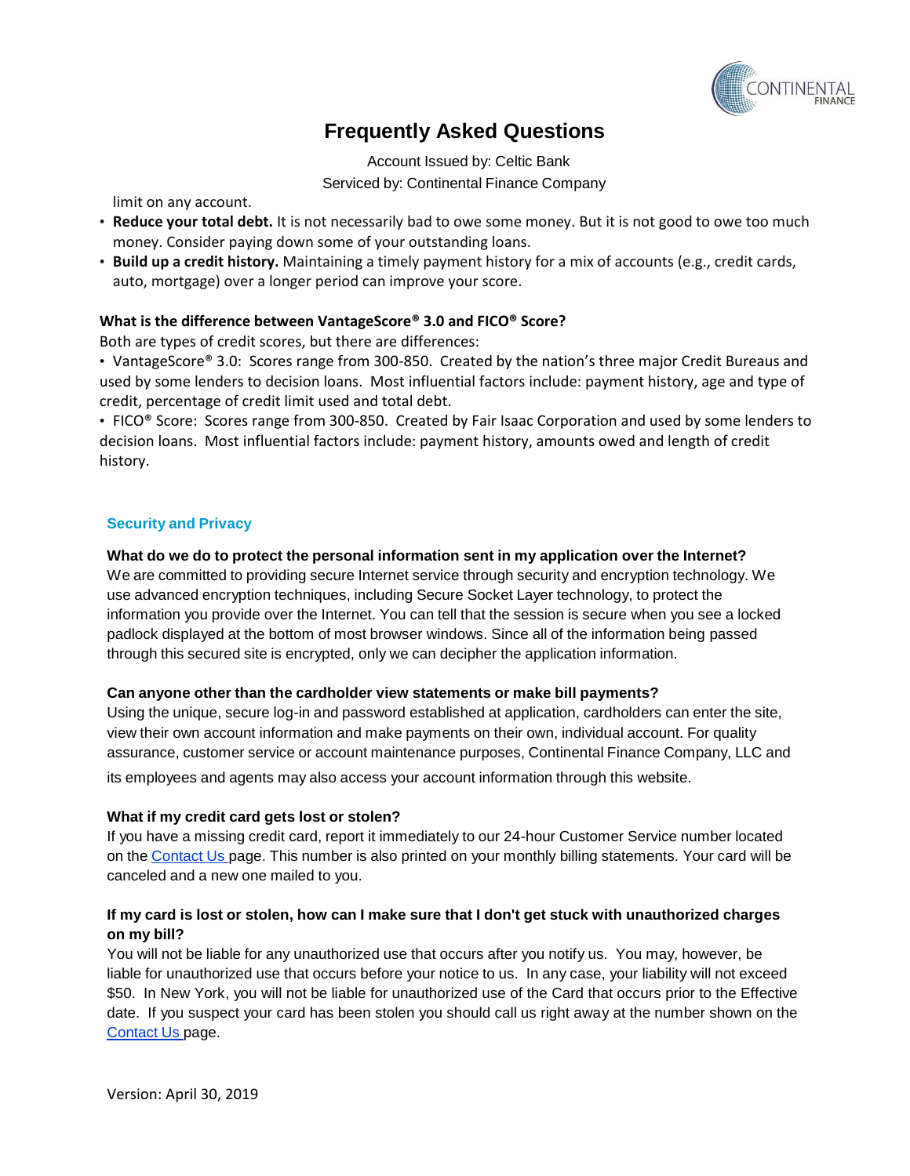

Account Issued by: Celtic Bank Serviced by: Continental Finance Company

limit on any account.

- **Reduce your total debt.** It is not necessarily bad to owe some money. But it is not good to owe too much money. Consider paying down some of your outstanding loans.
- **Build up a credit history.** Maintaining a timely payment history for a mix of accounts (e.g., credit cards, auto, mortgage) over a longer period can improve your score.

## <span id="page-8-0"></span>**What is the difference between VantageScore® 3.0 and FICO® Score?**

Both are types of credit scores, but there are differences:

• VantageScore® 3.0: Scores range from 300-850. Created by the nation's three major Credit Bureaus and used by some lenders to decision loans. Most influential factors include: payment history, age and type of credit, percentage of credit limit used and total debt.

• FICO® Score: Scores range from 300-850. Created by Fair Isaac Corporation and used by some lenders to decision loans. Most influential factors include: payment history, amounts owed and length of credit history.

## **Security and Privacy**

## <span id="page-8-1"></span>**What do we do to protect the personal information sent in my application over the Internet?**

We are committed to providing secure Internet service through security and encryption technology. We use advanced encryption techniques, including Secure Socket Layer technology, to protect the information you provide over the Internet. You can tell that the session is secure when you see a locked padlock displayed at the bottom of most browser windows. Since all of the information being passed through this secured site is encrypted, only we can decipher the application information.

## <span id="page-8-2"></span>**Can anyone other than the cardholder view statements or make bill payments?**

Using the unique, secure log-in and password established at application, cardholders can enter the site, view their own account information and make payments on their own, individual account. For quality assurance, customer service or account maintenance purposes, Continental Finance Company, LLC and

its employees and agents may also access your account information through this website.

## <span id="page-8-3"></span>**What if my credit card gets lost or stolen?**

If you have a missing credit card, report it immediately to our 24-hour Customer Service number located on the [Contact](http://www.continentalfinance.net/contact_us.php) Us page. This number is also printed on your monthly billing statements. Your card will be canceled and a new one mailed to you.

## <span id="page-8-4"></span>If my card is lost or stolen, how can I make sure that I don't get stuck with unauthorized charges **on my bill?**

<span id="page-8-5"></span>You will not be liable for any unauthorized use that occurs after you notify us. You may, however, be liable for unauthorized use that occurs before your notice to us. In any case, your liability will not exceed \$50. In New York, you will not be liable for unauthorized use of the Card that occurs prior to the Effective date. If you suspect your card has been stolen you should call us right away at the number shown on the [Contact](http://www.continentalfinance.net/contact_us.php) Us page.